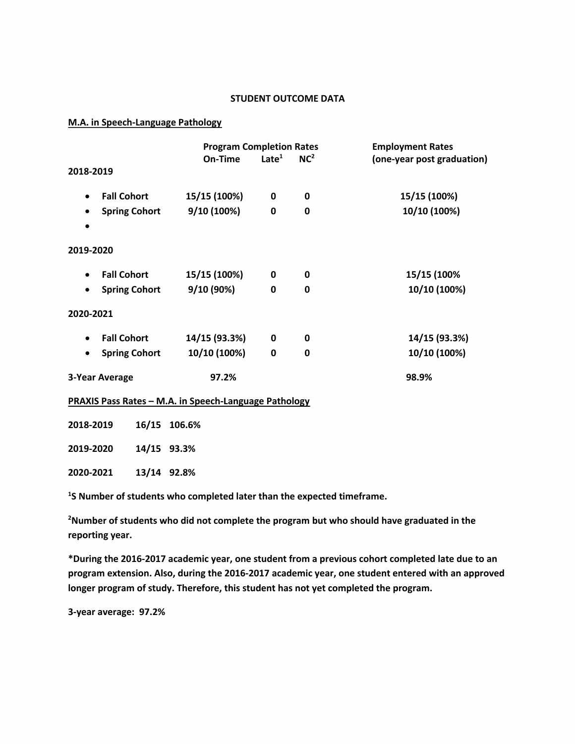## **STUDENT OUTCOME DATA**

## **M.A. in Speech-Language Pathology**

|                                   | <b>Program Completion Rates</b> |                 |                 | <b>Employment Rates</b>    |
|-----------------------------------|---------------------------------|-----------------|-----------------|----------------------------|
|                                   | On-Time                         | $\text{Late}^1$ | NC <sup>2</sup> | (one-year post graduation) |
| 2018-2019                         |                                 |                 |                 |                            |
| <b>Fall Cohort</b><br>$\bullet$   | 15/15 (100%)                    | $\bf{0}$        | 0               | 15/15 (100%)               |
| <b>Spring Cohort</b><br>$\bullet$ | 9/10 (100%)                     | 0               | 0               | 10/10 (100%)               |
|                                   |                                 |                 |                 |                            |
| 2019-2020                         |                                 |                 |                 |                            |
| <b>Fall Cohort</b><br>٠           | 15/15 (100%)                    | $\bf{0}$        | 0               | 15/15 (100%                |
| <b>Spring Cohort</b><br>$\bullet$ | 9/10 (90%)                      | 0               | $\bf{0}$        | 10/10 (100%)               |
| 2020-2021                         |                                 |                 |                 |                            |
| <b>Fall Cohort</b><br>$\bullet$   | 14/15 (93.3%)                   | 0               | 0               | 14/15 (93.3%)              |
| <b>Spring Cohort</b><br>$\bullet$ | 10/10 (100%)                    | 0               | 0               | 10/10 (100%)               |
| 3-Year Average                    | 97.2%                           |                 |                 | 98.9%                      |
|                                   |                                 |                 |                 |                            |

 **PRAXIS Pass Rates – M.A. in Speech-Language Pathology** 

| 2018-2019 |             | 16/15 106.6% |
|-----------|-------------|--------------|
| 2019-2020 | 14/15 93.3% |              |
| 2020-2021 | 13/14 92.8% |              |

<sup>1</sup>S Number of students who completed later than the expected timeframe.

 **2 Number of students who did not complete the program but who should have graduated in the reporting year.** 

 **\*During the 2016-2017 academic year, one student from a previous cohort completed late due to an program extension. Also, during the 2016-2017 academic year, one student entered with an approved longer program of study. Therefore, this student has not yet completed the program.** 

 **3-year average: 97.2%**